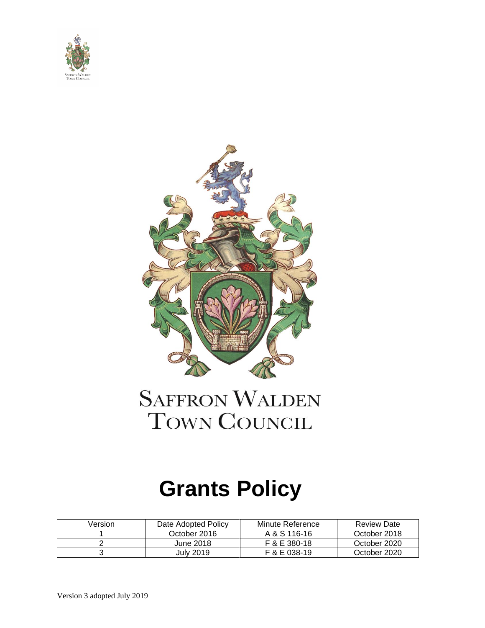



## **SAFFRON WALDEN** TOWN COUNCIL

# **Grants Policy**

| Version | Date Adopted Policy | Minute Reference | <b>Review Date</b> |
|---------|---------------------|------------------|--------------------|
|         | October 2016        | A & S 116-16     | October 2018       |
|         | June 2018           | F & E 380-18     | October 2020       |
|         | Julv 2019           | F & E 038-19     | October 2020       |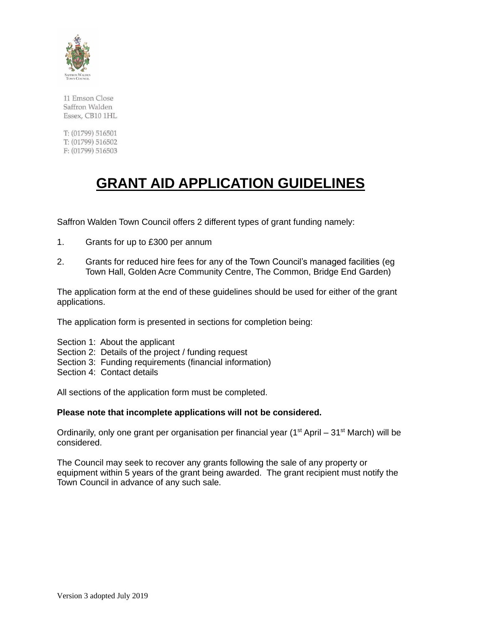

11 Emson Close Saffron Walden Essex, CB10 1HL

T: (01799) 516501 T: (01799) 516502 F: (01799) 516503

## **GRANT AID APPLICATION GUIDELINES**

Saffron Walden Town Council offers 2 different types of grant funding namely:

- 1. Grants for up to £300 per annum
- 2. Grants for reduced hire fees for any of the Town Council's managed facilities (eg Town Hall, Golden Acre Community Centre, The Common, Bridge End Garden)

The application form at the end of these guidelines should be used for either of the grant applications.

The application form is presented in sections for completion being:

- Section 1: About the applicant
- Section 2: Details of the project / funding request
- Section 3: Funding requirements (financial information)
- Section 4: Contact details

All sections of the application form must be completed.

#### **Please note that incomplete applications will not be considered.**

Ordinarily, only one grant per organisation per financial year ( $1<sup>st</sup>$  April –  $31<sup>st</sup>$  March) will be considered.

The Council may seek to recover any grants following the sale of any property or equipment within 5 years of the grant being awarded. The grant recipient must notify the Town Council in advance of any such sale.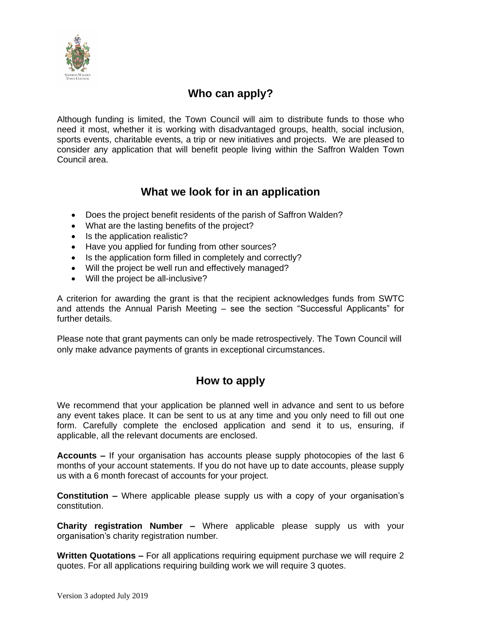

#### **Who can apply?**

Although funding is limited, the Town Council will aim to distribute funds to those who need it most, whether it is working with disadvantaged groups, health, social inclusion, sports events, charitable events, a trip or new initiatives and projects. We are pleased to consider any application that will benefit people living within the Saffron Walden Town Council area.

#### **What we look for in an application**

- Does the project benefit residents of the parish of Saffron Walden?
- What are the lasting benefits of the project?
- Is the application realistic?
- Have you applied for funding from other sources?
- Is the application form filled in completely and correctly?
- Will the project be well run and effectively managed?
- Will the project be all-inclusive?

A criterion for awarding the grant is that the recipient acknowledges funds from SWTC and attends the Annual Parish Meeting – see the section "Successful Applicants" for further details.

Please note that grant payments can only be made retrospectively. The Town Council will only make advance payments of grants in exceptional circumstances.

#### **How to apply**

We recommend that your application be planned well in advance and sent to us before any event takes place. It can be sent to us at any time and you only need to fill out one form. Carefully complete the enclosed application and send it to us, ensuring, if applicable, all the relevant documents are enclosed.

**Accounts –** If your organisation has accounts please supply photocopies of the last 6 months of your account statements. If you do not have up to date accounts, please supply us with a 6 month forecast of accounts for your project.

**Constitution –** Where applicable please supply us with a copy of your organisation's constitution.

**Charity registration Number –** Where applicable please supply us with your organisation's charity registration number.

**Written Quotations –** For all applications requiring equipment purchase we will require 2 quotes. For all applications requiring building work we will require 3 quotes.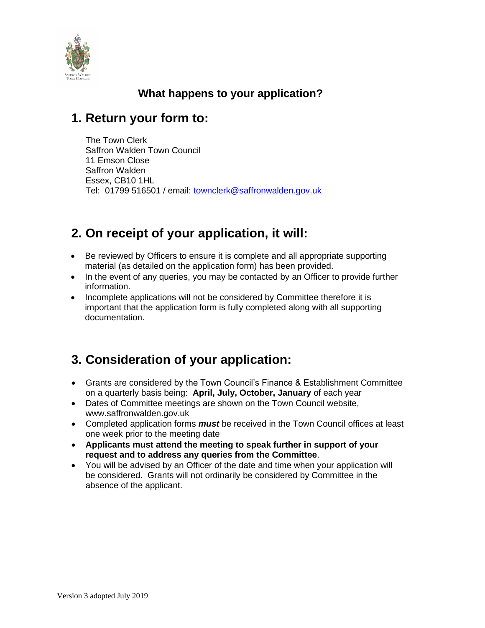

### **What happens to your application?**

## **1. Return your form to:**

The Town Clerk Saffron Walden Town Council 11 Emson Close Saffron Walden Essex, CB10 1HL Tel: 01799 516501 / email: [townclerk@saffronwalden.gov.uk](mailto:townclerk@saffronwalden.gov.uk)

## **2. On receipt of your application, it will:**

- Be reviewed by Officers to ensure it is complete and all appropriate supporting material (as detailed on the application form) has been provided.
- In the event of any queries, you may be contacted by an Officer to provide further information.
- Incomplete applications will not be considered by Committee therefore it is important that the application form is fully completed along with all supporting documentation.

## **3. Consideration of your application:**

- Grants are considered by the Town Council's Finance & Establishment Committee on a quarterly basis being: **April, July, October, January** of each year
- Dates of Committee meetings are shown on the Town Council website, www.saffronwalden.gov.uk
- Completed application forms *must* be received in the Town Council offices at least one week prior to the meeting date
- **Applicants must attend the meeting to speak further in support of your request and to address any queries from the Committee**.
- You will be advised by an Officer of the date and time when your application will be considered. Grants will not ordinarily be considered by Committee in the absence of the applicant.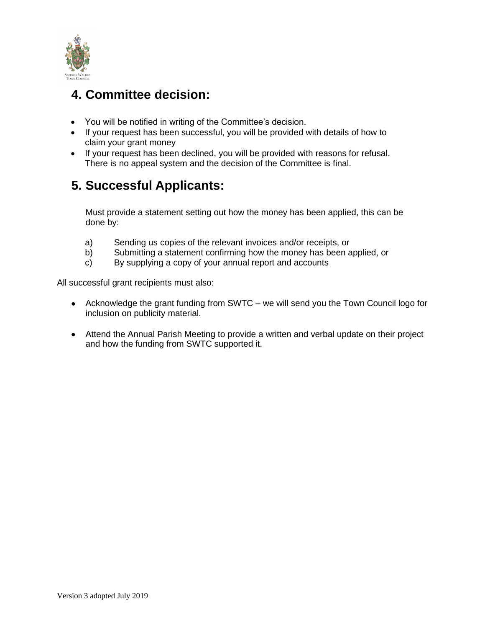

## **4. Committee decision:**

- You will be notified in writing of the Committee's decision.
- If your request has been successful, you will be provided with details of how to claim your grant money
- If your request has been declined, you will be provided with reasons for refusal. There is no appeal system and the decision of the Committee is final.

## **5. Successful Applicants:**

Must provide a statement setting out how the money has been applied, this can be done by:

- a) Sending us copies of the relevant invoices and/or receipts, or
- b) Submitting a statement confirming how the money has been applied, or
- c) By supplying a copy of your annual report and accounts

All successful grant recipients must also:

- Acknowledge the grant funding from SWTC we will send you the Town Council logo for inclusion on publicity material.
- Attend the Annual Parish Meeting to provide a written and verbal update on their project and how the funding from SWTC supported it.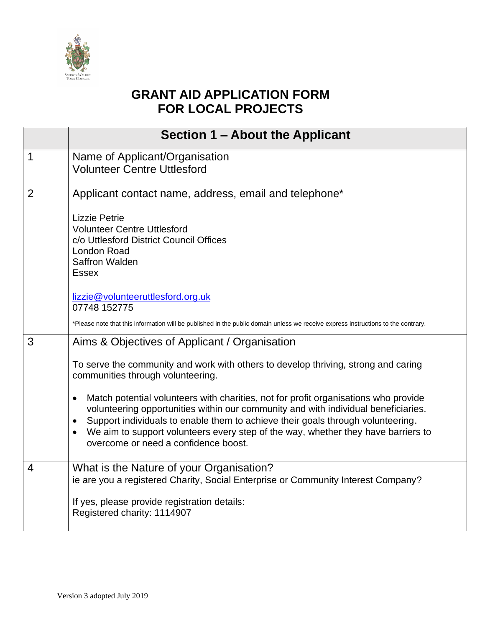

## **GRANT AID APPLICATION FORM FOR LOCAL PROJECTS**

|                | Section 1 – About the Applicant                                                                                                                                                                                                                                                                                                                                                                                                                                                                                                                                                                              |
|----------------|--------------------------------------------------------------------------------------------------------------------------------------------------------------------------------------------------------------------------------------------------------------------------------------------------------------------------------------------------------------------------------------------------------------------------------------------------------------------------------------------------------------------------------------------------------------------------------------------------------------|
| $\mathbf 1$    | Name of Applicant/Organisation<br><b>Volunteer Centre Uttlesford</b>                                                                                                                                                                                                                                                                                                                                                                                                                                                                                                                                         |
| $\overline{2}$ | Applicant contact name, address, email and telephone*<br><b>Lizzie Petrie</b><br><b>Volunteer Centre Uttlesford</b><br>c/o Uttlesford District Council Offices<br><b>London Road</b><br>Saffron Walden<br><b>Essex</b><br>lizzie@volunteeruttlesford.org.uk<br>07748 152775<br>*Please note that this information will be published in the public domain unless we receive express instructions to the contrary.                                                                                                                                                                                             |
| 3              | Aims & Objectives of Applicant / Organisation<br>To serve the community and work with others to develop thriving, strong and caring<br>communities through volunteering.<br>Match potential volunteers with charities, not for profit organisations who provide<br>$\bullet$<br>volunteering opportunities within our community and with individual beneficiaries.<br>Support individuals to enable them to achieve their goals through volunteering.<br>$\bullet$<br>We aim to support volunteers every step of the way, whether they have barriers to<br>$\bullet$<br>overcome or need a confidence boost. |
| 4              | What is the Nature of your Organisation?<br>ie are you a registered Charity, Social Enterprise or Community Interest Company?<br>If yes, please provide registration details:<br>Registered charity: 1114907                                                                                                                                                                                                                                                                                                                                                                                                 |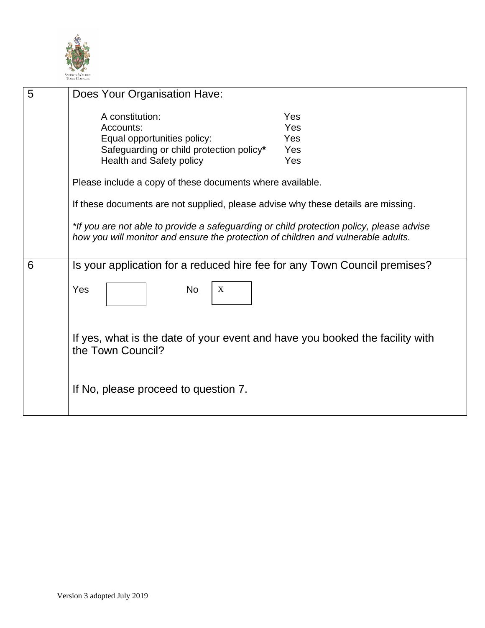

| 5 | Does Your Organisation Have:                                                                                                                                                  |                                 |
|---|-------------------------------------------------------------------------------------------------------------------------------------------------------------------------------|---------------------------------|
|   | A constitution:<br>Accounts:<br>Equal opportunities policy:<br>Safeguarding or child protection policy*<br><b>Health and Safety policy</b>                                    | Yes<br>Yes<br>Yes<br>Yes<br>Yes |
|   | Please include a copy of these documents where available.                                                                                                                     |                                 |
|   | If these documents are not supplied, please advise why these details are missing.                                                                                             |                                 |
|   | *If you are not able to provide a safeguarding or child protection policy, please advise<br>how you will monitor and ensure the protection of children and vulnerable adults. |                                 |
| 6 | Is your application for a reduced hire fee for any Town Council premises?                                                                                                     |                                 |
|   | <b>No</b><br>Yes<br>$\mathbf X$                                                                                                                                               |                                 |
|   | If yes, what is the date of your event and have you booked the facility with<br>the Town Council?                                                                             |                                 |
|   | If No, please proceed to question 7.                                                                                                                                          |                                 |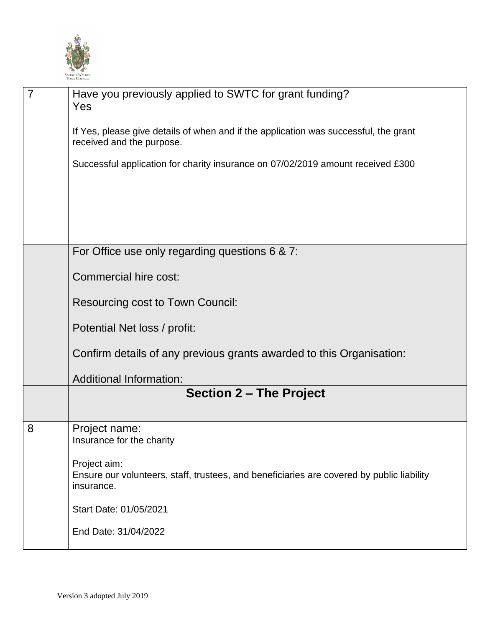

| $\overline{7}$ | Have you previously applied to SWTC for grant funding?<br>Yes                                                           |
|----------------|-------------------------------------------------------------------------------------------------------------------------|
|                | If Yes, please give details of when and if the application was successful, the grant<br>received and the purpose.       |
|                | Successful application for charity insurance on 07/02/2019 amount received £300                                         |
|                |                                                                                                                         |
|                |                                                                                                                         |
|                | For Office use only regarding questions 6 & 7:                                                                          |
|                | Commercial hire cost:                                                                                                   |
|                | <b>Resourcing cost to Town Council:</b>                                                                                 |
|                | Potential Net loss / profit:                                                                                            |
|                | Confirm details of any previous grants awarded to this Organisation:                                                    |
|                | <b>Additional Information:</b>                                                                                          |
|                | <b>Section 2 - The Project</b>                                                                                          |
| 8              | Project name:<br>Insurance for the charity                                                                              |
|                | Project aim:<br>Ensure our volunteers, staff, trustees, and beneficiaries are covered by public liability<br>insurance. |
|                | Start Date: 01/05/2021                                                                                                  |
|                | End Date: 31/04/2022                                                                                                    |
|                |                                                                                                                         |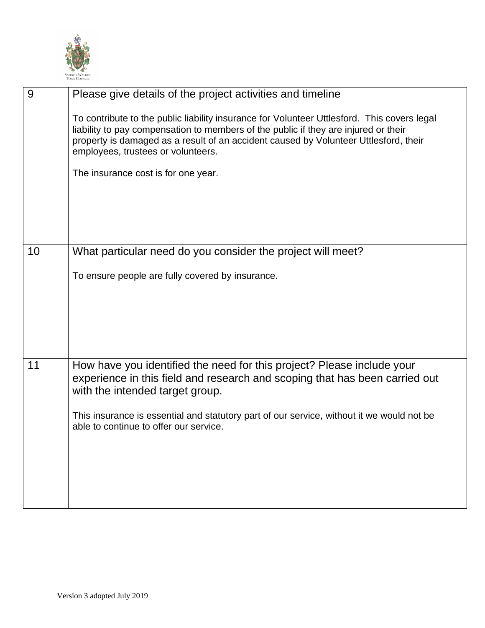

| 9  | Please give details of the project activities and timeline                                                                                                                                                                                                                                                       |
|----|------------------------------------------------------------------------------------------------------------------------------------------------------------------------------------------------------------------------------------------------------------------------------------------------------------------|
|    | To contribute to the public liability insurance for Volunteer Uttlesford. This covers legal<br>liability to pay compensation to members of the public if they are injured or their<br>property is damaged as a result of an accident caused by Volunteer Uttlesford, their<br>employees, trustees or volunteers. |
|    | The insurance cost is for one year.                                                                                                                                                                                                                                                                              |
|    |                                                                                                                                                                                                                                                                                                                  |
| 10 | What particular need do you consider the project will meet?                                                                                                                                                                                                                                                      |
|    | To ensure people are fully covered by insurance.                                                                                                                                                                                                                                                                 |
| 11 | How have you identified the need for this project? Please include your<br>experience in this field and research and scoping that has been carried out<br>with the intended target group.                                                                                                                         |
|    | This insurance is essential and statutory part of our service, without it we would not be<br>able to continue to offer our service.                                                                                                                                                                              |
|    |                                                                                                                                                                                                                                                                                                                  |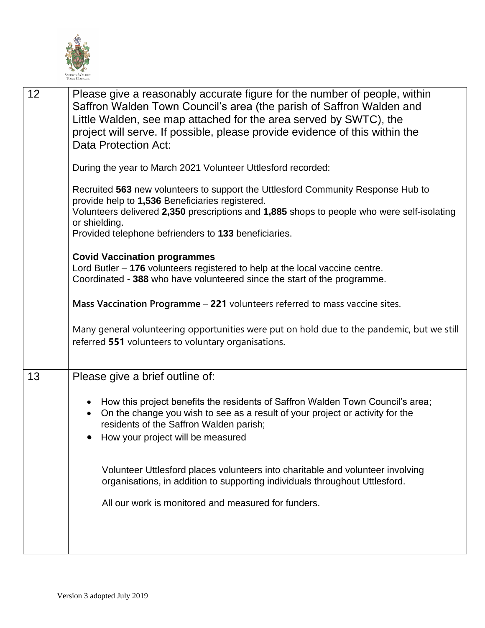

| 12 | Please give a reasonably accurate figure for the number of people, within<br>Saffron Walden Town Council's area (the parish of Saffron Walden and<br>Little Walden, see map attached for the area served by SWTC), the<br>project will serve. If possible, please provide evidence of this within the<br>Data Protection Act: |
|----|-------------------------------------------------------------------------------------------------------------------------------------------------------------------------------------------------------------------------------------------------------------------------------------------------------------------------------|
|    | During the year to March 2021 Volunteer Uttlesford recorded:                                                                                                                                                                                                                                                                  |
|    | Recruited 563 new volunteers to support the Uttlesford Community Response Hub to<br>provide help to 1,536 Beneficiaries registered.<br>Volunteers delivered 2,350 prescriptions and 1,885 shops to people who were self-isolating<br>or shielding.<br>Provided telephone befrienders to 133 beneficiaries.                    |
|    | <b>Covid Vaccination programmes</b><br>Lord Butler $-176$ volunteers registered to help at the local vaccine centre.<br>Coordinated - 388 who have volunteered since the start of the programme.                                                                                                                              |
|    | Mass Vaccination Programme - 221 volunteers referred to mass vaccine sites.                                                                                                                                                                                                                                                   |
|    | Many general volunteering opportunities were put on hold due to the pandemic, but we still<br>referred 551 volunteers to voluntary organisations.                                                                                                                                                                             |
| 13 | Please give a brief outline of:                                                                                                                                                                                                                                                                                               |
|    | How this project benefits the residents of Saffron Walden Town Council's area;<br>On the change you wish to see as a result of your project or activity for the<br>residents of the Saffron Walden parish;<br>How your project will be measured                                                                               |
|    | Volunteer Uttlesford places volunteers into charitable and volunteer involving<br>organisations, in addition to supporting individuals throughout Uttlesford.                                                                                                                                                                 |
|    | All our work is monitored and measured for funders.                                                                                                                                                                                                                                                                           |
|    |                                                                                                                                                                                                                                                                                                                               |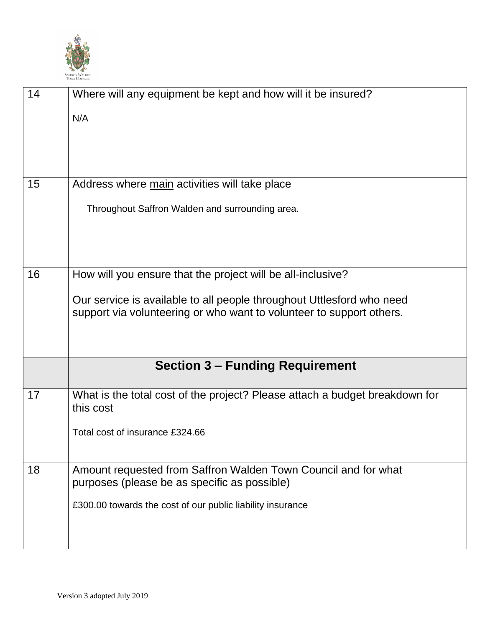

| 14 | Where will any equipment be kept and how will it be insured?<br>N/A                                                                                                          |
|----|------------------------------------------------------------------------------------------------------------------------------------------------------------------------------|
| 15 | Address where main activities will take place<br>Throughout Saffron Walden and surrounding area.                                                                             |
| 16 | How will you ensure that the project will be all-inclusive?                                                                                                                  |
|    | Our service is available to all people throughout Uttlesford who need<br>support via volunteering or who want to volunteer to support others.                                |
|    | <b>Section 3 – Funding Requirement</b>                                                                                                                                       |
| 17 | What is the total cost of the project? Please attach a budget breakdown for<br>this cost<br>Total cost of insurance £324.66                                                  |
| 18 | Amount requested from Saffron Walden Town Council and for what<br>purposes (please be as specific as possible)<br>£300.00 towards the cost of our public liability insurance |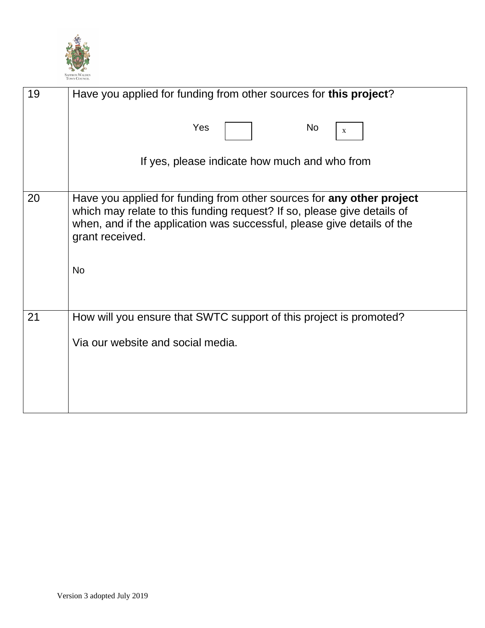

| 19 | Have you applied for funding from other sources for this project?                                                                                                                                                                                           |
|----|-------------------------------------------------------------------------------------------------------------------------------------------------------------------------------------------------------------------------------------------------------------|
|    | Yes<br>No<br>X                                                                                                                                                                                                                                              |
|    | If yes, please indicate how much and who from                                                                                                                                                                                                               |
| 20 | Have you applied for funding from other sources for any other project<br>which may relate to this funding request? If so, please give details of<br>when, and if the application was successful, please give details of the<br>grant received.<br><b>No</b> |
| 21 | How will you ensure that SWTC support of this project is promoted?                                                                                                                                                                                          |
|    | Via our website and social media.                                                                                                                                                                                                                           |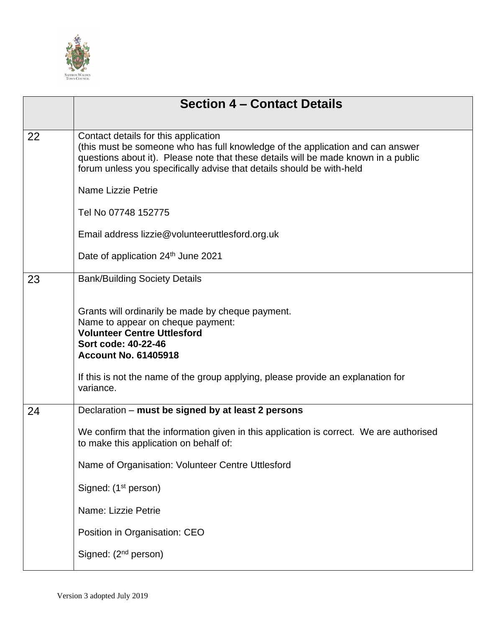

|    | <b>Section 4 – Contact Details</b>                                                                                                                                                                                                                                                    |
|----|---------------------------------------------------------------------------------------------------------------------------------------------------------------------------------------------------------------------------------------------------------------------------------------|
|    |                                                                                                                                                                                                                                                                                       |
| 22 | Contact details for this application<br>(this must be someone who has full knowledge of the application and can answer<br>questions about it). Please note that these details will be made known in a public<br>forum unless you specifically advise that details should be with-held |
|    | <b>Name Lizzie Petrie</b>                                                                                                                                                                                                                                                             |
|    | Tel No 07748 152775                                                                                                                                                                                                                                                                   |
|    | Email address lizzie@volunteeruttlesford.org.uk                                                                                                                                                                                                                                       |
|    | Date of application 24th June 2021                                                                                                                                                                                                                                                    |
| 23 | <b>Bank/Building Society Details</b>                                                                                                                                                                                                                                                  |
|    | Grants will ordinarily be made by cheque payment.<br>Name to appear on cheque payment:<br><b>Volunteer Centre Uttlesford</b><br>Sort code: 40-22-46<br><b>Account No. 61405918</b>                                                                                                    |
|    | If this is not the name of the group applying, please provide an explanation for<br>variance.                                                                                                                                                                                         |
| 24 | Declaration – must be signed by at least 2 persons                                                                                                                                                                                                                                    |
|    | We confirm that the information given in this application is correct. We are authorised<br>to make this application on behalf of:                                                                                                                                                     |
|    | Name of Organisation: Volunteer Centre Uttlesford                                                                                                                                                                                                                                     |
|    | Signed: (1 <sup>st</sup> person)                                                                                                                                                                                                                                                      |
|    | Name: Lizzie Petrie                                                                                                                                                                                                                                                                   |
|    | Position in Organisation: CEO                                                                                                                                                                                                                                                         |
|    | Signed: (2 <sup>nd</sup> person)                                                                                                                                                                                                                                                      |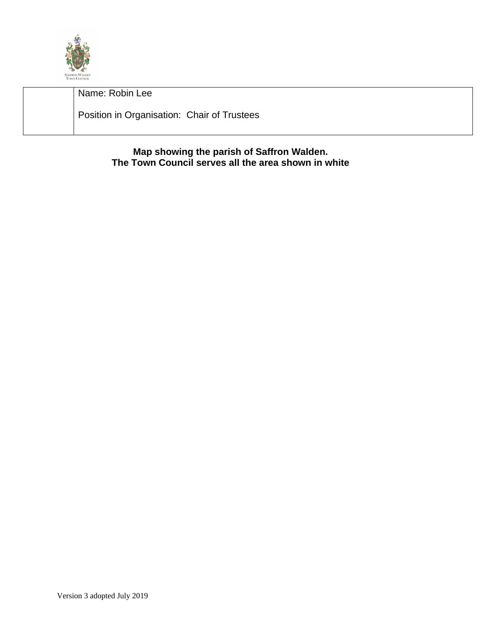

Name: Robin Lee Position in Organisation: Chair of Trustees

> **Map showing the parish of Saffron Walden. The Town Council serves all the area shown in white**